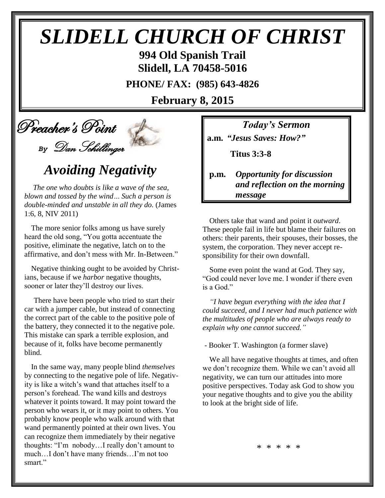# *SLIDELL CHURCH OF CHRIST*

**994 Old Spanish Trail Slidell, LA 70458-5016**

**PHONE/ FAX: (985) 643-4826**

**February 8, 2015**

## Preacher's Point *By* Dan Schillinger

## *Avoiding Negativity*

*The one who doubts is like a wave of the sea, blown and tossed by the wind… Such a person is double-minded and unstable in all they do.* (James 1:6, 8, NIV 2011)

The more senior folks among us have surely heard the old song, "You gotta accentuate the positive, eliminate the negative, latch on to the affirmative, and don't mess with Mr. In-Between."

Negative thinking ought to be avoided by Christians, because if we *harbor* negative thoughts, sooner or later they'll destroy our lives.

There have been people who tried to start their car with a jumper cable, but instead of connecting the correct part of the cable to the positive pole of the battery, they connected it to the negative pole. This mistake can spark a terrible explosion, and because of it, folks have become permanently blind.

In the same way, many people blind *themselves* by connecting to the negative pole of life. Negativity is like a witch's wand that attaches itself to a person's forehead. The wand kills and destroys whatever it points toward. It may point toward the person who wears it, or it may point to others. You probably know people who walk around with that wand permanently pointed at their own lives. You can recognize them immediately by their negative thoughts: "I'm nobody…I really don't amount to much…I don't have many friends…I'm not too smart."

*Today's Sermon*

**a.m.** *"Jesus Saves: How?"*

 **Titus 3:3-8**

**p.m.** *Opportunity for discussion*  *and reflection on the morning message*

Others take that wand and point it *outward*. These people fail in life but blame their failures on others: their parents, their spouses, their bosses, the system, the corporation. They never accept responsibility for their own downfall.

Some even point the wand at God. They say, "God could never love me. I wonder if there even is a God."

*"I have begun everything with the idea that I could succeed, and I never had much patience with the multitudes of people who are always ready to explain why one cannot succeed."*

- Booker T. Washington (a former slave)

We all have negative thoughts at times, and often we don't recognize them. While we can't avoid all negativity, we can turn our attitudes into more positive perspectives. Today ask God to show you your negative thoughts and to give you the ability to look at the bright side of life.

\* \* \* \* \*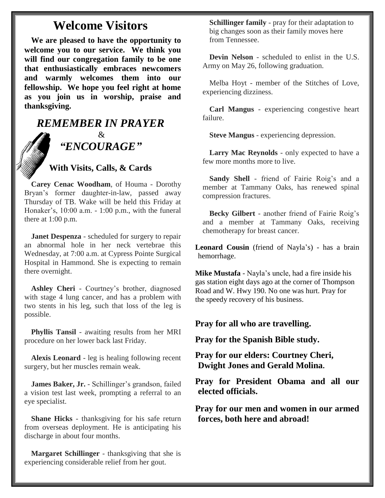### **Welcome Visitors**

**We are pleased to have the opportunity to welcome you to our service. We think you will find our congregation family to be one that enthusiastically embraces newcomers and warmly welcomes them into our fellowship. We hope you feel right at home as you join us in worship, praise and thanksgiving.**

### *REMEMBER IN PRAYER* & *"ENCOURAGE"*

### **With Visits, Calls, & Cards**

**Carey Cenac Woodham**, of Houma - Dorothy Bryan's former daughter-in-law, passed away Thursday of TB. Wake will be held this Friday at Honaker's, 10:00 a.m. - 1:00 p.m., with the funeral there at  $1:00$  p.m.

**Janet Despenza** - scheduled for surgery to repair an abnormal hole in her neck vertebrae this Wednesday, at 7:00 a.m. at Cypress Pointe Surgical Hospital in Hammond. She is expecting to remain there overnight.

**Ashley Cheri** - Courtney's brother, diagnosed with stage 4 lung cancer, and has a problem with two stents in his leg, such that loss of the leg is possible.

**Phyllis Tansil** - awaiting results from her MRI procedure on her lower back last Friday.

**Alexis Leonard** - leg is healing following recent surgery, but her muscles remain weak.

**James Baker, Jr.** - Schillinger's grandson, failed a vision test last week, prompting a referral to an eye specialist.

**Shane Hicks** - thanksgiving for his safe return from overseas deployment. He is anticipating his discharge in about four months.

**Margaret Schillinger** - thanksgiving that she is experiencing considerable relief from her gout.

**Schillinger family** - pray for their adaptation to big changes soon as their family moves here from Tennessee.

**Devin Nelson** - scheduled to enlist in the U.S. Army on May 26, following graduation.

Melba Hoyt - member of the Stitches of Love, experiencing dizziness.

**Carl Mangus** - experiencing congestive heart failure.

**Steve Mangus** - experiencing depression.

**Larry Mac Reynolds** - only expected to have a few more months more to live.

**Sandy Shell** - friend of Fairie Roig's and a member at Tammany Oaks, has renewed spinal compression fractures.

**Becky Gilbert** - another friend of Fairie Roig's and a member at Tammany Oaks, receiving chemotherapy for breast cancer.

**Leonard Cousin** (friend of Nayla's) - has a brain hemorrhage.

**Mike Mustafa** - Nayla's uncle, had a fire inside his gas station eight days ago at the corner of Thompson Road and W. Hwy 190. No one was hurt. Pray for the speedy recovery of his business.

**Pray for all who are travelling.**

**Pray for the Spanish Bible study.**

**Pray for our elders: Courtney Cheri, Dwight Jones and Gerald Molina.**

**Pray for President Obama and all our elected officials.**

**Pray for our men and women in our armed forces, both here and abroad!**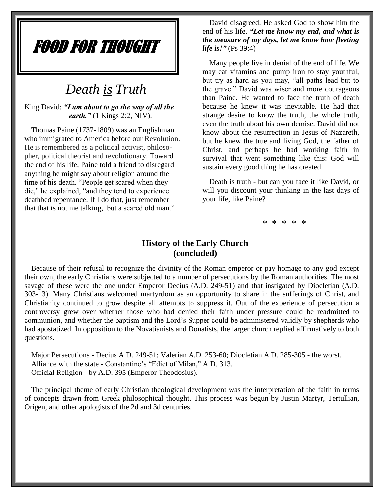## FOOD FOR THOUGHT

### *Death is Truth*

King David: *"I am about to go the way of all the earth.*" (1 Kings 2:2, NIV).

Thomas Paine (1737-1809) was an Englishman who immigrated to America before our Revolution. He is remembered as a political activist, philosopher, political theorist and revolutionary. Toward the end of his life, Paine told a friend to disregard anything he might say about religion around the time of his death. "People get scared when they die," he explained, "and they tend to experience deathbed repentance. If I do that, just remember that that is not me talking, but a scared old man."

David disagreed. He asked God to show him the end of his life. *"Let me know my end, and what is the measure of my days, let me know how fleeting life is!"* (Ps 39:4)

Many people live in denial of the end of life. We may eat vitamins and pump iron to stay youthful, but try as hard as you may, "all paths lead but to the grave." David was wiser and more courageous than Paine. He wanted to face the truth of death because he knew it was inevitable. He had that strange desire to know the truth, the whole truth, even the truth about his own demise. David did not know about the resurrection in Jesus of Nazareth, but he knew the true and living God, the father of Christ, and perhaps he had working faith in survival that went something like this: God will sustain every good thing he has created.

Death is truth - but can you face it like David, or will you discount your thinking in the last days of your life, like Paine?

\* \* \* \* \*

### **History of the Early Church (concluded)**

Because of their refusal to recognize the divinity of the Roman emperor or pay homage to any god except their own, the early Christians were subjected to a number of persecutions by the Roman authorities. The most savage of these were the one under Emperor Decius (A.D. 249-51) and that instigated by Diocletian (A.D. 303-13). Many Christians welcomed martyrdom as an opportunity to share in the sufferings of Christ, and Christianity continued to grow despite all attempts to suppress it. Out of the experience of persecution a controversy grew over whether those who had denied their faith under pressure could be readmitted to communion, and whether the baptism and the Lord's Supper could be administered validly by shepherds who had apostatized. In opposition to the Novatianists and Donatists, the larger church replied affirmatively to both questions.

Major Persecutions - Decius A.D. 249-51; Valerian A.D. 253-60; Diocletian A.D. 285-305 - the worst. Alliance with the state - Constantine's "Edict of Milan," A.D. 313. Official Religion - by A.D. 395 (Emperor Theodosius).

The principal theme of early Christian theological development was the interpretation of the faith in terms of concepts drawn from Greek philosophical thought. This process was begun by Justin Martyr, Tertullian, Origen, and other apologists of the 2d and 3d centuries.